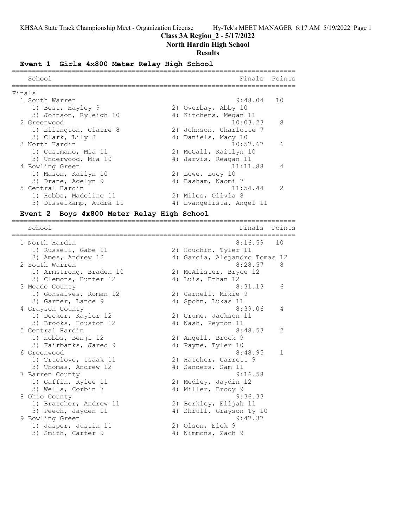#### **Class 3A Region\_2 - 5/17/2022**

## **North Hardin High School**

#### **Results**

#### **Event 1 Girls 4x800 Meter Relay High School**

|        | School                  | Finals                   | Points         |
|--------|-------------------------|--------------------------|----------------|
| Finals |                         |                          |                |
|        | 1 South Warren          | 9:48.04                  | 1 O            |
|        | 1) Best, Hayley 9       | 2) Overbay, Abby 10      |                |
|        | 3) Johnson, Ryleigh 10  | 4) Kitchens, Megan 11    |                |
|        | 2 Greenwood             | 10:03.23                 | 8              |
|        | 1) Ellington, Claire 8  | 2) Johnson, Charlotte 7  |                |
|        | 3) Clark, Lily 8        | 4) Daniels, Macy 10      |                |
|        | 3 North Hardin          | 10:57.67                 | $\kappa$       |
|        | 1) Cusimano, Mia 11     | 2) McCall, Kaitlyn 10    |                |
|        | 3) Underwood, Mia 10    | 4) Jarvis, Reagan 11     |                |
|        | 4 Bowling Green         | 11:11.88                 | $\overline{4}$ |
|        | 1) Mason, Kailyn 10     | 2) Lowe, Lucy 10         |                |
|        | 3) Drane, Adelyn 9      | 4) Basham, Naomi 7       |                |
|        | 5 Central Hardin        | 11:54.44                 | $\overline{2}$ |
|        | 1) Hobbs, Madeline 11   | 2) Miles, Olivia 8       |                |
|        | 3) Disselkamp, Audra 11 | 4) Evangelista, Angel 11 |                |

#### **Event 2 Boys 4x800 Meter Relay High School** =======================================================================

School Finals Points ======================================================================= 1 North Hardin 8:16.59 10 1) Russell, Gabe 11 2) Houchin, Tyler 11 3) Ames, Andrew 12 4) Garcia, Alejandro Tomas 12 2 South Warren 8:28.57 8 1) Armstrong, Braden 10 2) McAlister, Bryce 12 3) Clemons, Hunter 12 (4) Luis, Ethan 12 3 Meade County 6:31.13 6 1) Gonsalves, Roman 12 (2) Carnell, Mikie 9 3) Garner, Lance 9 4) Spohn, Lukas 11 4 Grayson County 8:39.06 4 1) Decker, Kaylor 12 (2) Crume, Jackson 11 3) Brooks, Houston 12 (4) Nash, Peyton 11 5 Central Hardin 8:48.53 2 1) Hobbs, Benji 12 2) Angell, Brock 9 3) Fairbanks, Jared 9 1944 4) Payne, Tyler 10 6 Greenwood 8:48.95 1 1) Truelove, Isaak 11 2) Hatcher, Garrett 9 3) Thomas, Andrew 12 4) Sanders, Sam 11 7 Barren County 9:16.58 1) Gaffin, Rylee 11 2) Medley, Jaydin 12 3) Wells, Corbin 7 (4) Miller, Brody 9 8 Ohio County 9:36.33 1) Bratcher, Andrew 11 2) Berkley, Elijah 11 3) Peech, Jayden 11 4) Shrull, Grayson Ty 10 9 Bowling Green 9:47.37 1) Jasper, Justin 11 2) Olson, Elek 9 3) Smith, Carter 9 4) Nimmons, Zach 9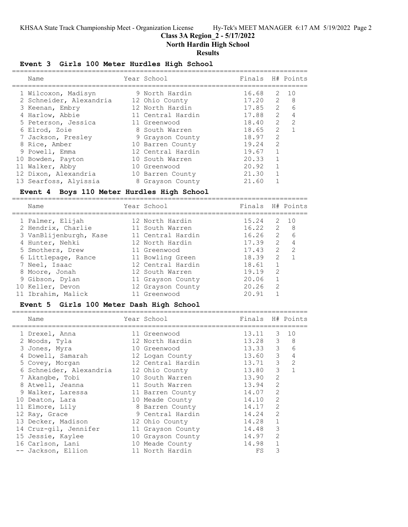## **Class 3A Region\_2 - 5/17/2022**

**North Hardin High School**

## **Results**

#### **Event 3 Girls 100 Meter Hurdles High School**

| Name                    | Year School       | Finals H# Points |               |                |
|-------------------------|-------------------|------------------|---------------|----------------|
| 1 Wilcoxon, Madisyn     | 9 North Hardin    | 16.68            | 2             | 1 O            |
| 2 Schneider, Alexandria | 12 Ohio County    | 17.20            | 2             | - 8            |
| 3 Keenan, Embry         | 12 North Hardin   | 17.85            | $2^{\circ}$   | - 6            |
| 4 Harlow, Abbie         | 11 Central Hardin | 17.88            | 2             | $\overline{4}$ |
| 5 Peterson, Jessica     | 11 Greenwood      | 18.40            | $2^{\circ}$   | $\overline{2}$ |
| 6 Elrod, Zoie           | 8 South Warren    | 18.65            | $\mathcal{P}$ |                |
| 7 Jackson, Presley      | 9 Grayson County  | 18.97            | $\mathcal{L}$ |                |
| 8 Rice, Amber           | 10 Barren County  | 19.24            | $\mathcal{L}$ |                |
| 9 Powell, Emma          | 12 Central Hardin | 19.67            |               |                |
| 10 Bowden, Payton       | 10 South Warren   | 20.33            | 1             |                |
| 11 Walker, Abby         | 10 Greenwood      | 20.92            |               |                |
| 12 Dixon, Alexandria    | 10 Barren County  | 21.30            |               |                |
| 13 Searfoss, Alyissia   | 8 Grayson County  | 21.60            |               |                |

## **Event 4 Boys 110 Meter Hurdles High School**

==========================================================================

| Name                   | Year School       | Finals H# Points |               |                 |
|------------------------|-------------------|------------------|---------------|-----------------|
| 1 Palmer, Elijah       | 12 North Hardin   | 15.24            | 2             | $\overline{10}$ |
| 2 Hendrix, Charlie     | 11 South Warren   | 16.22            | 2             | - 8             |
| 3 VanBlijenburgh, Kase | 11 Central Hardin | 16.26            | $2^{\circ}$   | $6\overline{6}$ |
| 4 Hunter, Nehki        | 12 North Hardin   | 17.39            | $2^{\circ}$   | 4               |
| 5 Smothers, Drew       | 11 Greenwood      | 17.43            | $2^{\circ}$   | $\mathcal{L}$   |
| 6 Littlepage, Rance    | 11 Bowling Green  | 18.39            | $\mathcal{P}$ |                 |
| 7 Neel, Isaac          | 12 Central Hardin | 18.61            |               |                 |
| 8 Moore, Jonah         | 12 South Warren   | 19.19            | $\mathcal{L}$ |                 |
| 9 Gibson, Dylan        | 11 Grayson County | 20.06            |               |                 |
| 10 Keller, Devon       | 12 Grayson County | 20.26            | $\mathcal{L}$ |                 |
| 11 Ibrahim, Malick     | 11 Greenwood      | 20.91            |               |                 |

#### **Event 5 Girls 100 Meter Dash High School**

| Name                    | Year School       | Finals H# Points |                |               |
|-------------------------|-------------------|------------------|----------------|---------------|
| 1 Drexel, Anna          | 11 Greenwood      | 13.11            | 3              | 10            |
| 2 Woods, Tyla           | 12 North Hardin   | 13.28            | 3              | 8             |
| 3 Jones, Myra           | 10 Greenwood      | 13.33            | 3              | 6             |
| 4 Dowell, Samarah       | 12 Logan County   | 13.60            | 3              | 4             |
| 5 Covey, Morgan         | 12 Central Hardin | 13.71            | 3              | $\mathcal{L}$ |
| 6 Schneider, Alexandria | 12 Ohio County    | 13.80            | 3              |               |
| 7 Akangbe, Tobi         | 10 South Warren   | 13.90            | $\overline{2}$ |               |
| 8 Atwell, Jeanna        | 11 South Warren   | 13.94            | $\overline{2}$ |               |
| 9 Walker, Laressa       | 11 Barren County  | 14.07            | $\overline{2}$ |               |
| 10 Deaton, Lara         | 10 Meade County   | 14.10            | $\mathcal{L}$  |               |
| 11 Elmore, Lily         | 8 Barren County   | 14.17            | $\overline{2}$ |               |
| 12 Ray, Grace           | 9 Central Hardin  | 14.24            | $\overline{2}$ |               |
| 13 Decker, Madison      | 12 Ohio County    | 14.28            |                |               |
| 14 Cruz-gil, Jennifer   | 11 Grayson County | 14.48            | 3              |               |
| 15 Jessie, Kaylee       | 10 Grayson County | 14.97            | $\overline{2}$ |               |
| 16 Carlson, Lani        | 10 Meade County   | 14.98            |                |               |
| -- Jackson, Ellion      | 11 North Hardin   | FS               | 3              |               |
|                         |                   |                  |                |               |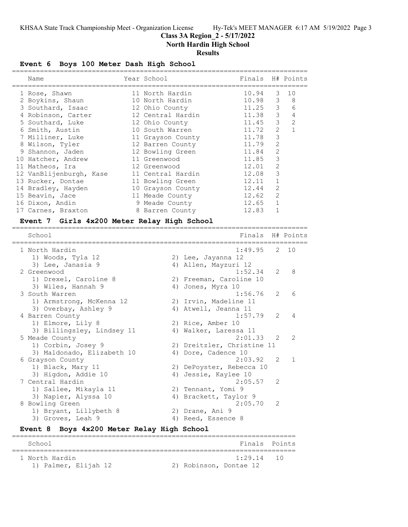## **Class 3A Region\_2 - 5/17/2022**

**North Hardin High School**

## **Results**

#### **Event 6 Boys 100 Meter Dash High School**

| Name |                                                                                                                                                                                                                                                                                                                                                           |                                                                                                                                                                                                                                                                                                                                                  |                |                                             |
|------|-----------------------------------------------------------------------------------------------------------------------------------------------------------------------------------------------------------------------------------------------------------------------------------------------------------------------------------------------------------|--------------------------------------------------------------------------------------------------------------------------------------------------------------------------------------------------------------------------------------------------------------------------------------------------------------------------------------------------|----------------|---------------------------------------------|
|      |                                                                                                                                                                                                                                                                                                                                                           | 10.94                                                                                                                                                                                                                                                                                                                                            | 3              | 10                                          |
|      |                                                                                                                                                                                                                                                                                                                                                           |                                                                                                                                                                                                                                                                                                                                                  | 3              | 8                                           |
|      |                                                                                                                                                                                                                                                                                                                                                           |                                                                                                                                                                                                                                                                                                                                                  | 3              | 6                                           |
|      |                                                                                                                                                                                                                                                                                                                                                           | 11.38                                                                                                                                                                                                                                                                                                                                            | 3              | 4                                           |
|      |                                                                                                                                                                                                                                                                                                                                                           |                                                                                                                                                                                                                                                                                                                                                  | 3              | $\mathcal{L}$                               |
|      |                                                                                                                                                                                                                                                                                                                                                           | 11.72                                                                                                                                                                                                                                                                                                                                            | 2              |                                             |
|      |                                                                                                                                                                                                                                                                                                                                                           | 11.78                                                                                                                                                                                                                                                                                                                                            | 3              |                                             |
|      |                                                                                                                                                                                                                                                                                                                                                           | 11.79                                                                                                                                                                                                                                                                                                                                            | 2              |                                             |
|      |                                                                                                                                                                                                                                                                                                                                                           | 11.84                                                                                                                                                                                                                                                                                                                                            | $\mathcal{L}$  |                                             |
|      |                                                                                                                                                                                                                                                                                                                                                           | 11.85                                                                                                                                                                                                                                                                                                                                            | 3              |                                             |
|      |                                                                                                                                                                                                                                                                                                                                                           | 12.01                                                                                                                                                                                                                                                                                                                                            | $\overline{2}$ |                                             |
|      |                                                                                                                                                                                                                                                                                                                                                           | 12.08                                                                                                                                                                                                                                                                                                                                            | 3              |                                             |
|      |                                                                                                                                                                                                                                                                                                                                                           | 12.11                                                                                                                                                                                                                                                                                                                                            |                |                                             |
|      |                                                                                                                                                                                                                                                                                                                                                           | 12.44                                                                                                                                                                                                                                                                                                                                            | $\overline{2}$ |                                             |
|      |                                                                                                                                                                                                                                                                                                                                                           | 12.62                                                                                                                                                                                                                                                                                                                                            | $\overline{2}$ |                                             |
|      |                                                                                                                                                                                                                                                                                                                                                           | 12.65                                                                                                                                                                                                                                                                                                                                            |                |                                             |
|      |                                                                                                                                                                                                                                                                                                                                                           | 12.83                                                                                                                                                                                                                                                                                                                                            |                |                                             |
|      | 1 Rose, Shawn<br>2 Boykins, Shaun<br>3 Southard, Isaac<br>4 Robinson, Carter<br>5 Southard, Luke<br>6 Smith, Austin<br>7 Milliner, Luke<br>8 Wilson, Tyler<br>9 Shannon, Jaden<br>10 Hatcher, Andrew<br>11 Matheos, Ira<br>12 VanBlijenburgh, Kase<br>13 Rucker, Dontae<br>14 Bradley, Hayden<br>15 Beavin, Jace<br>16 Dixon, Andin<br>17 Carnes, Braxton | Year School<br>11 North Hardin<br>10 North Hardin<br>12 Ohio County<br>12 Central Hardin<br>12 Ohio County<br>10 South Warren<br>11 Grayson County<br>12 Barren County<br>12 Bowling Green<br>11 Greenwood<br>12 Greenwood<br>11 Central Hardin<br>11 Bowling Green<br>10 Grayson County<br>11 Meade County<br>9 Meade County<br>8 Barren County |                | Finals H# Points<br>10.98<br>11.25<br>11.45 |

#### **Event 7 Girls 4x200 Meter Relay High School**

========================================================================== School Finals H# Points ========================================================================== 1 North Hardin 1:49.95 2 10 1) Woods, Tyla 12 2) Lee, Jayanna 12 3) Lee, Janasia 9 19 10 10 10 10 11 12 2 Greenwood 1:52.34 2 8 1) Drexel, Caroline 8 2) Freeman, Caroline 10 3) Wiles, Hannah 9  $\hskip1cm \hskip1cm 4)$  Jones, Myra 10 3 South Warren 1:56.76 2 6 1) Armstrong, McKenna 12 2) Irvin, Madeline 11 3) Overbay, Ashley 9  $\hskip1cm$  4) Atwell, Jeanna 11 4 Barren County 1:57.79 2 4 1) Elmore, Lily 8 2) Rice, Amber 10 3) Billingsley, Lindsey 11 4) Walker, Laressa 11 5 Meade County 2:01.33 2 2 1) Corbin, Josey 9 2) Dreitzler, Christine 11 3) Maldonado, Elizabeth 10 (4) Dore, Cadence 10 6 Grayson County 2:03.92 2 1 1) Black, Mary 11 2) DePoyster, Rebecca 10 3) Higdon, Addie 10 10 10 4) Jessie, Kaylee 10 7 Central Hardin 2:05.57 2 1) Sallee, Mikayla 11 2) Tennant, Yomi 9 3) Napier, Alyssa 10 4) Brackett, Taylor 9 8 Bowling Green 2:05.70 2 1) Bryant, Lillybeth 8 2) Drane, Ani 9<br>1) Bryant, Lillybeth 8 2) Drane, Ani 9<br>3) Groves, Leah 9 20 31 Reed, Essence 4) Reed, Essence 8

#### **Event 8 Boys 4x200 Meter Relay High School**

## ======================================================================= School **Finals Points** ======================================================================= 1 North Hardin 1:29.14 10 1) Palmer, Elijah 12 2) Robinson, Dontae 12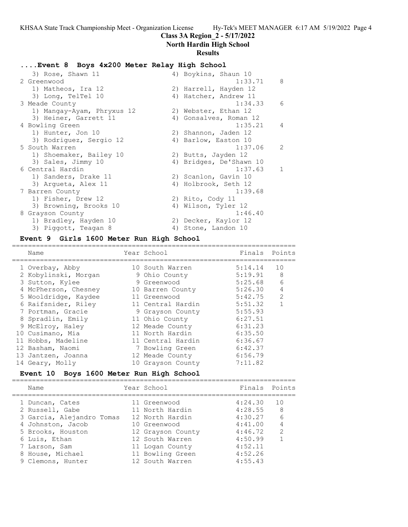## **Class 3A Region\_2 - 5/17/2022**

## **North Hardin High School**

## **Results**

## **....Event 8 Boys 4x200 Meter Relay High School**

| 3) Rose, Shawn 11          | 4) Boykins, Shaun 10    |               |
|----------------------------|-------------------------|---------------|
| 2 Greenwood                | 1:33.71                 | 8             |
| 1) Matheos, Ira 12         | 2) Harrell, Hayden 12   |               |
| 3) Long, TelTel 10         | 4) Hatcher, Andrew 11   |               |
| 3 Meade County             | 1:34.33                 | 6             |
| 1) Mangay-Ayam, Phryxus 12 | 2) Webster, Ethan 12    |               |
| 3) Heiner, Garrett 11      | 4) Gonsalves, Roman 12  |               |
| 4 Bowling Green            | 1:35.21                 | 4             |
| 1) Hunter, Jon 10          | 2) Shannon, Jaden 12    |               |
| 3) Rodriquez, Sergio 12    | 4) Barlow, Easton 10    |               |
| 5 South Warren             | 1:37.06                 | $\mathcal{P}$ |
| 1) Shoemaker, Bailey 10    | 2) Butts, Jayden 12     |               |
| 3) Sales, Jimmy 10         | 4) Bridges, De'Shawn 10 |               |
| 6 Central Hardin           | 1:37.63                 |               |
| 1) Sanders, Drake 11       | 2) Scanlon, Gavin 10    |               |
| 3) Argueta, Alex 11        | 4) Holbrook, Seth 12    |               |
| 7 Barren County            | 1:39.68                 |               |
| 1) Fisher, Drew 12         | 2) Rito, Cody 11        |               |
| 3) Browning, Brooks 10     | 4) Wilson, Tyler 12     |               |
| 8 Grayson County           | 1:46.40                 |               |
| 1) Bradley, Hayden 10      | 2) Decker, Kaylor 12    |               |
| 3) Piggott, Teagan 8       | 4) Stone, Landon 10     |               |

#### **Event 9 Girls 1600 Meter Run High School**

|  | Name                 | Year School       | Finals  | Points |
|--|----------------------|-------------------|---------|--------|
|  | 1 Overbay, Abby      | 10 South Warren   | 5:14.14 | 10     |
|  | 2 Kobylinski, Morgan | 9 Ohio County     | 5:19.91 | 8      |
|  | 3 Sutton, Kylee      | 9 Greenwood       | 5:25.68 | 6      |
|  | 4 McPherson, Chesney | 10 Barren County  | 5:26.30 | 4      |
|  | 5 Wooldridge, Kaydee | 11 Greenwood      | 5:42.75 | 2      |
|  | 6 Raifsnider, Riley  | 11 Central Hardin | 5:51.32 |        |
|  | 7 Portman, Gracie    | 9 Grayson County  | 5:55.93 |        |
|  | 8 Spradlin, Emily    | 11 Ohio County    | 6:27.51 |        |
|  | 9 McElroy, Haley     | 12 Meade County   | 6:31.23 |        |
|  | 10 Cusimano, Mia     | 11 North Hardin   | 6:35.50 |        |
|  | 11 Hobbs, Madeline   | 11 Central Hardin | 6:36.67 |        |
|  | 12 Basham, Naomi     | 7 Bowling Green   | 6:42.37 |        |
|  | 13 Jantzen, Joanna   | 12 Meade County   | 6:56.79 |        |
|  | 14 Geary, Molly      | 10 Grayson County | 7:11.82 |        |
|  |                      |                   |         |        |

# **Event 10 Boys 1600 Meter Run High School**

|  | Name                      | Year School       | Finals Points |               |
|--|---------------------------|-------------------|---------------|---------------|
|  | 1 Duncan, Cates           | 11 Greenwood      | 4:24.30       | 10            |
|  | 2 Russell, Gabe           | 11 North Hardin   | 4:28.55       | 8             |
|  | 3 Garcia, Alejandro Tomas | 12 North Hardin   | 4:30.27       | 6             |
|  | 4 Johnston, Jacob         | 10 Greenwood      | 4:41.00       |               |
|  | 5 Brooks, Houston         | 12 Grayson County | 4:46.72       | $\mathcal{D}$ |
|  | 6 Luis, Ethan             | 12 South Warren   | 4:50.99       |               |
|  | 7 Larson, Sam             | 11 Logan County   | 4:52.11       |               |
|  | 8 House, Michael          | 11 Bowling Green  | 4:52.26       |               |
|  | 9 Clemons, Hunter         | 12 South Warren   | 4:55.43       |               |
|  |                           |                   |               |               |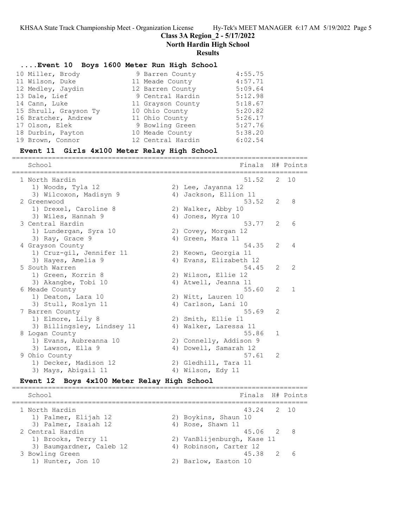**Class 3A Region\_2 - 5/17/2022**

**North Hardin High School**

#### **Results**

#### **....Event 10 Boys 1600 Meter Run High School**

| 10 Miller, Brody      | 9 Barren County   | 4:55.75 |
|-----------------------|-------------------|---------|
| 11 Wilson, Duke       | 11 Meade County   | 4:57.71 |
| 12 Medley, Jaydin     | 12 Barren County  | 5:09.64 |
| 13 Dale, Lief         | 9 Central Hardin  | 5:12.98 |
| 14 Cann, Luke         | 11 Grayson County | 5:18.67 |
| 15 Shrull, Grayson Ty | 10 Ohio County    | 5:20.82 |
| 16 Bratcher, Andrew   | 11 Ohio County    | 5:26.17 |
| 17 Olson, Elek        | 9 Bowling Green   | 5:27.76 |
| 18 Durbin, Payton     | 10 Meade County   | 5:38.20 |
| 19 Brown, Connor      | 12 Central Hardin | 6:02.54 |

 19 Brown, Connor 12 Central Hardin 6:02.54 **Event 11 Girls 4x100 Meter Relay High School** ========================================================================== School **Finals** H# Points ========================================================================== 1 North Hardin 51.52 2 10 1) Woods, Tyla 12 2) Lee, Jayanna 12 3) Wilcoxon, Madisyn 9 4) Jackson, Ellion 11 2 Greenwood 53.52 2 8 1) Drexel, Caroline 8 2) Walker, Abby 10 3) Wiles, Hannah 9  $\hskip1cm \hskip1cm 4)$  Jones, Myra 10 3 Central Hardin 53.77 2 6 1) Lundergan, Syra 10  $\hskip1cm$  2) Covey, Morgan 12 3) Ray, Grace 9 (a) 4) Green, Mara 11 4 Grayson County 54.35 2 4 1) Cruz-gil, Jennifer 11 2) Keown, Georgia 11 3) Hayes, Amelia 9 4) Evans, Elizabeth 12 5 South Warren 54.45 2 2 1) Green, Korrin 8 2) Wilson, Ellie 12 3) Akangbe, Tobi 10 (4) Atwell, Jeanna 11 6 Meade County 55.60 2 1 1) Deaton, Lara 10 2) Witt, Lauren 10 3) Stull, Roslyn 11 (4) Carlson, Lani 10 7 Barren County 55.69 2 1) Elmore, Lily 8 2) Smith, Ellie 11 3) Billingsley, Lindsey 11 4) Walker, Laressa 11 8 Logan County 2012 12:00 12:00 12:00 12:00 12:00 12:00 12:00 12:00 12:00 12:00 12:00 12:00 12:00 12:00 12:00 12:00 12:00 12:00 12:00 12:00 12:00 12:00 12:00 12:00 12:00 12:00 12:00 12:00 12:00 12:00 12:00 12:00 12:00 12:0 1) Evans, Aubreanna 10 2) Connelly, Addison 9 3) Lawson, Ella 9 4) Dowell, Samarah 12 9 Ohio County 57.61 2 1) Decker, Madison 12 2) Gledhill, Tara 11 3) Mays, Abigail 11 4) Wilson, Edy 11

## **Event 12 Boys 4x100 Meter Relay High School**

========================================================================== School **Finals** H# Points ========================================================================== 1 North Hardin 43.24 2 10 1) Palmer, Elijah 12 2) Boykins, Shaun 10 3) Palmer, Isaiah 12 4) Rose, Shawn 11 2 Central Hardin 45.06 2 8 1) Brooks, Terry 11 2) VanBlijenburgh, Kase 11 3) Baumgardner, Caleb 12 4) Robinson, Carter 12 3 Bowling Green 45.38 2 6 1) Hunter, Jon 10 2) Barlow, Easton 10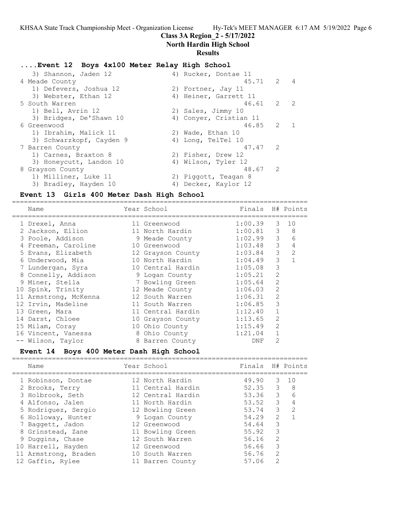## **Class 3A Region\_2 - 5/17/2022**

## **North Hardin High School**

#### **Results**

## **....Event 12 Boys 4x100 Meter Relay High School**

| 3) Shannon, Jaden 12     |    | 4) Rucker, Dontae 11   |   |            |
|--------------------------|----|------------------------|---|------------|
| 4 Meade County           |    | 45.71 2 4              |   |            |
| 1) Defevers, Joshua 12   |    | 2) Fortner, Jay 11     |   |            |
| 3) Webster, Ethan 12     |    | 4) Heiner, Garrett 11  |   |            |
| 5 South Warren           |    | $46.61$ 2 2            |   |            |
| 1) Bell, Avrin 12        |    | 2) Sales, Jimmy 10     |   |            |
| 3) Bridges, De'Shawn 10  |    | 4) Conyer, Cristian 11 |   |            |
| 6 Greenwood              |    | $46.85$ 2              |   | $\sqrt{1}$ |
| 1) Ibrahim, Malick 11    |    | 2) Wade, Ethan 10      |   |            |
| 3) Schwarzkopf, Cayden 9 |    | 4) Long, TelTel 10     |   |            |
| 7 Barren County          |    | 47.47 2                |   |            |
| 1) Carnes, Braxton 8     |    | 2) Fisher, Drew 12     |   |            |
| 3) Honeycutt, Landon 10  |    | 4) Wilson, Tyler 12    |   |            |
| 8 Grayson County         |    | 48.67                  | 2 |            |
| 1) Milliner, Luke 11     |    | 2) Piggott, Teagan 8   |   |            |
| 3) Bradley, Hayden 10    | 4) | Decker, Kaylor 12      |   |            |
|                          |    |                        |   |            |

## **Event 13 Girls 400 Meter Dash High School**

==========================================================================

| Name                  | Year School       | Finals  |                | H# Points      |
|-----------------------|-------------------|---------|----------------|----------------|
| 1 Drexel, Anna        | 11 Greenwood      | 1:00.39 | 3              | 10             |
| 2 Jackson, Ellion     | 11 North Hardin   | 1:00.81 | 3              | 8              |
| 3 Poole, Addison      | 9 Meade County    | 1:02.99 | 3              | 6              |
| 4 Freeman, Caroline   | 10 Greenwood      | 1:03.48 | 3              | 4              |
| 5 Evans, Elizabeth    | 12 Grayson County | 1:03.84 | 3              | $\overline{2}$ |
| 6 Underwood, Mia      | 10 North Hardin   | 1:04.49 | 3              |                |
| 7 Lundergan, Syra     | 10 Central Hardin | 1:05.08 | 3              |                |
| 8 Connelly, Addison   | 9 Logan County    | 1:05.21 | $\overline{2}$ |                |
| 9 Miner, Stella       | 7 Bowling Green   | 1:05.64 | $\overline{2}$ |                |
| 10 Spink, Trinity     | 12 Meade County   | 1:06.03 | $\overline{2}$ |                |
| 11 Armstrong, McKenna | 12 South Warren   | 1:06.31 | $\overline{2}$ |                |
| 12 Irvin, Madeline    | 11 South Warren   | 1:06.85 | 3              |                |
| 13 Green, Mara        | 11 Central Hardin | 1:12.40 |                |                |
| 14 Darst, Chloee      | 10 Grayson County | 1:13.65 | $\overline{2}$ |                |
| 15 Milam, Coray       | 10 Ohio County    | 1:15.49 | $\overline{2}$ |                |
| 16 Vincent, Vanessa   | 8 Ohio County     | 1:21.04 |                |                |
| -- Wilson, Taylor     | 8 Barren County   | DNF     | 2              |                |

# **Event 14 Boys 400 Meter Dash High School**

| Name                                     | Year School                          | Finals H# Points |                                |                    |
|------------------------------------------|--------------------------------------|------------------|--------------------------------|--------------------|
| 1 Robinson, Dontae<br>2 Brooks, Terry    | 12 North Hardin<br>11 Central Hardin | 49.90<br>52.35   | 3<br>$\mathcal{E}$             | 10<br>8            |
| 3 Holbrook, Seth                         | 12 Central Hardin                    | 53.36            | $\overline{\mathbf{3}}$        | 6                  |
| 4 Alfonso, Jalen<br>5 Rodriguez, Sergio  | 11 North Hardin<br>12 Bowling Green  | 53.52<br>53.74   | 3<br>3                         | 4<br>$\mathcal{P}$ |
| 6 Holloway, Hunter                       | 9 Logan County                       | 54.29            | $\mathcal{L}$                  |                    |
| 7 Baggett, Jadon                         | 12 Greenwood                         | 54.64            | 3                              |                    |
| 8 Grinstead, Zane<br>9 Duggins, Chase    | 11 Bowling Green<br>12 South Warren  | 55.92<br>56.16   | 3<br>$\mathcal{L}$             |                    |
| 10 Harrell, Hayden                       | 12 Greenwood                         | 56.66            | 3                              |                    |
| 11 Armstrong, Braden<br>12 Gaffin, Rylee | 10 South Warren<br>11 Barren County  | 56.76<br>57.06   | $\mathcal{L}$<br>$\mathcal{P}$ |                    |
|                                          |                                      |                  |                                |                    |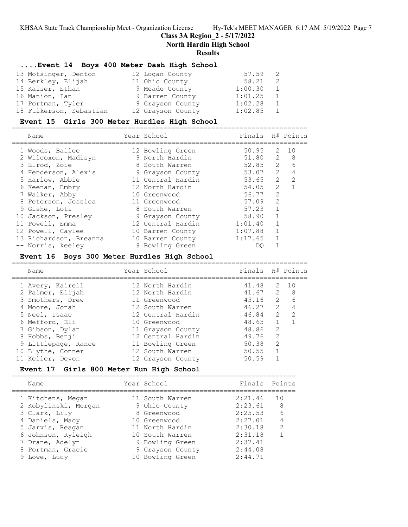#### **Class 3A Region\_2 - 5/17/2022**

**North Hardin High School**

#### **Results**

#### **....Event 14 Boys 400 Meter Dash High School**

| 13 Motsinger, Denton    | 12 Logan County   | 57.59   | - 2            |
|-------------------------|-------------------|---------|----------------|
| 14 Berkley, Elijah      | 11 Ohio County    | 58.21   | $\overline{2}$ |
| 15 Kaiser, Ethan        | 9 Meade County    | 1:00.30 |                |
| 16 Manion, Ian          | 9 Barren County   | 1:01.25 |                |
| 17 Portman, Tyler       | 9 Grayson County  | 1:02.28 |                |
| 18 Fulkerson, Sebastian | 12 Grayson County | 1:02.85 |                |

#### **Event 15 Girls 300 Meter Hurdles High School**

========================================================================== Name Year School Finals H# Points ========================================================================== 1 Woods, Bailee 12 Bowling Green 50.95 2 10 2 Wilcoxon, Madisyn 9 North Hardin 51.80 2 8 3 Elrod, Zoie 8 South Warren 52.85 2 6 4 Henderson, Alexis 9 Grayson County 53.07 2 4 5 Harlow, Abbie 11 Central Hardin 53.65 2 2 6 Keenan, Embry 12 North Hardin 54.05 2 1 7 Walker, Abby 10 Greenwood 56.77 2 8 Peterson, Jessica 11 Greenwood 57.09 2 9 Gishe, Loti 8 South Warren 57.23 1 10 Jackson, Presley 9 Grayson County 58.90 1 11 Powell, Emma 12 Central Hardin 1:01.40 1 12 Powell, Caylee 10 Barren County 1:07.88 1 13 Richardson, Breanna 10 Barren County 1:17.65 1 -- Norris, keeley 9 Bowling Green DQ 1

## **Event 16 Boys 300 Meter Hurdles High School**

| Name                | Year School       | Finals H# Points |                |                |
|---------------------|-------------------|------------------|----------------|----------------|
| 1 Avery, Kairell    | 12 North Hardin   | 41.48            | 2              | 10             |
| 2 Palmer, Elijah    | 12 North Hardin   | 41.67            |                | 2 8            |
| 3 Smothers, Drew    | 11 Greenwood      | 45.16            | $2^{1}$        | 6              |
| 4 Moore, Jonah      | 12 South Warren   | 46.27            | 2              | $\overline{4}$ |
| 5 Neel, Isaac       | 12 Central Hardin | 46.84            | $\mathcal{L}$  | 2              |
| 6 Mefford, Eli      | 10 Greenwood      | 48.65            | $\mathbf{1}$   |                |
| 7 Gibson, Dylan     | 11 Grayson County | 48.86            | $\mathcal{L}$  |                |
| 8 Hobbs, Benji      | 12 Central Hardin | 49.76            | $\mathcal{L}$  |                |
| 9 Littlepage, Rance | 11 Bowling Green  | 50.38            | $\mathcal{L}$  |                |
| 10 Blythe, Conner   | 12 South Warren   | 50.55            | $\overline{1}$ |                |
| 11 Keller, Devon    | 12 Grayson County | 50.59            |                |                |

#### **Event 17 Girls 800 Meter Run High School**

=======================================================================

| Name                 | Year School      | Finals  | Points        |
|----------------------|------------------|---------|---------------|
| 1 Kitchens, Megan    | 11 South Warren  | 2:21.46 | 10            |
| 2 Kobylinski, Morgan | 9 Ohio County    | 2:23.61 | 8             |
| 3 Clark, Lily        | 8 Greenwood      | 2:25.53 | 6             |
| 4 Daniels, Macy      | 10 Greenwood     | 2:27.01 |               |
| 5 Jarvis, Reagan     | 11 North Hardin  | 2:30.18 | $\mathcal{L}$ |
| 6 Johnson, Ryleigh   | 10 South Warren  | 2:31.18 |               |
| 7 Drane, Adelyn      | 9 Bowling Green  | 2:37.41 |               |
| 8 Portman, Gracie    | 9 Grayson County | 2:44.08 |               |
| 9 Lowe, Lucy         | 10 Bowling Green | 2:44.71 |               |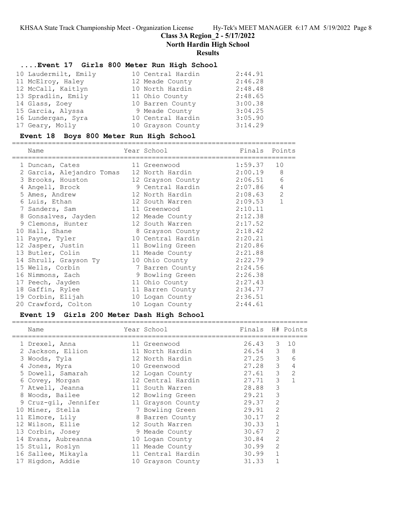**Class 3A Region\_2 - 5/17/2022**

**North Hardin High School**

**Results**

## **....Event 17 Girls 800 Meter Run High School**

| 10 Laudermilt, Emily | 10 Central Hardin | 2:44.91 |
|----------------------|-------------------|---------|
| 11 McElroy, Haley    | 12 Meade County   | 2:46.28 |
| 12 McCall, Kaitlyn   | 10 North Hardin   | 2:48.48 |
| 13 Spradlin, Emily   | 11 Ohio County    | 2:48.65 |
| 14 Glass, Zoey       | 10 Barren County  | 3:00.38 |
| 15 Garcia, Alyssa    | 9 Meade County    | 3:04.25 |
| 16 Lundergan, Syra   | 10 Central Hardin | 3:05.90 |
| 17 Geary, Molly      | 10 Grayson County | 3:14.29 |

#### **Event 18 Boys 800 Meter Run High School**

=======================================================================

| Name                      | Year School             | Finals      | Points         |
|---------------------------|-------------------------|-------------|----------------|
| 1 Duncan, Cates           | 11 Greenwood            | 1:59.37     | 10             |
| 2 Garcia, Alejandro Tomas | 12 North Hardin         | $2:00.19$ 8 |                |
| 3 Brooks, Houston         | 12 Grayson County       | 2:06.51     | 6              |
| 4 Angell, Brock           | 9 Central Hardin        | 2:07.86     | $\overline{4}$ |
| 5 Ames, Andrew            | 12 North Hardin         | 2:08.63     | 2              |
| 6 Luis, Ethan             | 12 South Warren 2:09.53 |             | $\mathbf{1}$   |
| 7 Sanders, Sam            | 11 Greenwood            | 2:10.11     |                |
| 8 Gonsalves, Jayden       | 12 Meade County         | 2:12.38     |                |
| 9 Clemons, Hunter         | 12 South Warren         | 2:17.52     |                |
| 10 Hall, Shane            | 8 Grayson County        | 2:18.42     |                |
| 11 Payne, Tyler           | 10 Central Hardin       | 2:20.21     |                |
| 12 Jasper, Justin         | 11 Bowling Green        | 2:20.86     |                |
| 13 Butler, Colin          | 11 Meade County         | 2:21.88     |                |
| 14 Shrull, Grayson Ty     | 10 Ohio County          | 2:22.79     |                |
| 15 Wells, Corbin          | 7 Barren County         | 2:24.56     |                |
| 16 Nimmons, Zach          | 9 Bowling Green         | 2:26.38     |                |
| 17 Peech, Jayden          | 11 Ohio County          | 2:27.43     |                |
| 18 Gaffin, Rylee          | 11 Barren County        | 2:34.77     |                |
| 19 Corbin, Elijah         | 10 Logan County 2:36.51 |             |                |
| 20 Crawford, Colton       | 10 Logan County         | 2:44.61     |                |
|                           |                         |             |                |

## **Event 19 Girls 200 Meter Dash High School**

| Name                 | Year School       | Finals H# Points |               |                     |
|----------------------|-------------------|------------------|---------------|---------------------|
| 1 Drexel, Anna       | 11 Greenwood      | 26.43            | 3             | 10                  |
| 2 Jackson, Ellion    | 11 North Hardin   | 26.54            |               | $3 \quad 8$         |
| 3 Woods, Tyla        | 12 North Hardin   | 27.25            |               | 3 <sup>7</sup><br>6 |
| 4 Jones, Myra        | 10 Greenwood      | 27.28            | 3             | 4                   |
| 5 Dowell, Samarah    | 12 Logan County   | 27.61            | 3             | 2                   |
| 6 Covey, Morgan      | 12 Central Hardin | 27.71            | 3             | $\mathbf{1}$        |
| 7 Atwell, Jeanna     | 11 South Warren   | 28.88            | 3             |                     |
| 8 Woods, Bailee      | 12 Bowling Green  | 29.21            | 3             |                     |
| 9 Cruz-gil, Jennifer | 11 Grayson County | 29.37            | 2             |                     |
| 10 Miner, Stella     | 7 Bowling Green   | 29.91            | 2             |                     |
| 11 Elmore, Lily      | 8 Barren County   | 30.17            | $\mathcal{L}$ |                     |
| 12 Wilson, Ellie     | 12 South Warren   | 30.33            | $\mathbf{1}$  |                     |
| 13 Corbin, Josey     | 9 Meade County    | 30.67            | 2             |                     |
| 14 Evans, Aubreanna  | 10 Logan County   | 30.84            | 2             |                     |
| 15 Stull, Roslyn     | 11 Meade County   | 30.99            | 2             |                     |
| 16 Sallee, Mikayla   | 11 Central Hardin | 30.99            | $\mathbf{1}$  |                     |
| 17 Higdon, Addie     | 10 Grayson County | 31.33            |               |                     |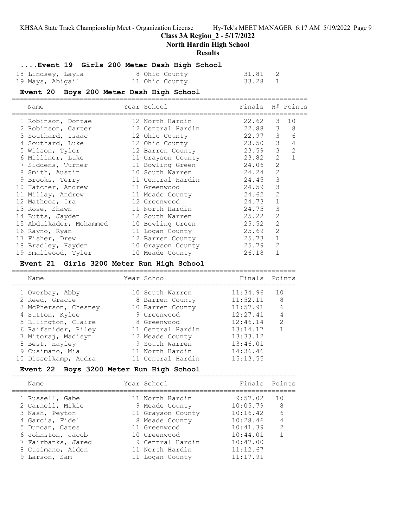#### **Class 3A Region\_2 - 5/17/2022**

**North Hardin High School**

#### **Results**

#### **....Event 19 Girls 200 Meter Dash High School**

| 18 Lindsey, Layla |  | 8 Ohio County  | 31.81 2 |  |
|-------------------|--|----------------|---------|--|
| 19 Mays, Abigail  |  | 11 Ohio County | 33.28 1 |  |

#### **Event 20 Boys 200 Meter Dash High School**

Name The Year School Controll Finals H# Points ========================================================================== 1 Robinson, Dontae 12 North Hardin 22.62 3 10 2 Robinson, Carter 12 Central Hardin 22.88 3 8 3 Southard, Isaac 12 Ohio County 22.97 3 6 4 Southard, Luke 12 Ohio County 23.50 3 4 5 Wilson, Tyler 12 Barren County 23.59 3 2 6 Milliner, Luke 11 Grayson County 23.82 2 1 7 Siddens, Turner 11 Bowling Green 24.06 2 8 Smith, Austin 10 South Warren 24.24 2 9 Brooks, Terry 11 Central Hardin 24.45 3 10 Hatcher, Andrew 11 Greenwood 24.59 3 11 Millay, Andrew 11 Meade County 24.62 2 12 Matheos, Ira 12 Greenwood 24.73 1 13 Rose, Shawn 11 North Hardin 24.75 3 14 Butts, Jayden 12 South Warren 25.22 2 15 Abdulkader, Mohammed 10 Bowling Green 25.52 2 16 Rayno, Ryan 11 Logan County 25.69 2 17 Fisher, Drew 12 Barren County 25.73 1 18 Bradley, Hayden 10 Grayson County 25.79 2 19 Smallwood, Tyler 10 Meade County 26.18 1

==========================================================================

## **Event 21 Girls 3200 Meter Run High School**

======================================================================= Name Year School Finals Points ======================================================================= 1 Overbay, Abby 10 South Warren 11:34.96 10 2 Reed, Gracie 8 Barren County 11:52.11 8 3 McPherson, Chesney 10 Barren County 11:57.91 6 4 Sutton, Kylee 9 Greenwood 12:27.41 4 5 Ellington, Claire 8 Greenwood 12:46.14 2 6 Raifsnider, Riley 11 Central Hardin 13:14.17 1 7 Mitoraj, Madisyn 12 Meade County 13:33.12 8 Best, Hayley 9 South Warren 13:46.01 9 Cusimano, Mia 11 North Hardin 14:36.46 10 Disselkamp, Audra 11 Central Hardin 15:13.55

**Event 22 Boys 3200 Meter Run High School** ======================================================================= Name The Year School Team Points Points ======================================================================= 1 Russell, Gabe 11 North Hardin 9:57.02 10 2 Carnell, Mikie 9 Meade County 10:05.79 8 3 Nash, Peyton 11 Grayson County 10:16.42 6 4 Garcia, Fidel 8 Meade County 10:28.46 4 5 Duncan, Cates 11 Greenwood 10:41.39 2 6 Johnston, Jacob 10 Greenwood 10:44.01 1 7 Fairbanks, Jared 9 Central Hardin 10:47.00 8 Cusimano, Aiden 11 North Hardin 11:12.67 9 Larson, Sam 11 Logan County 11:17.91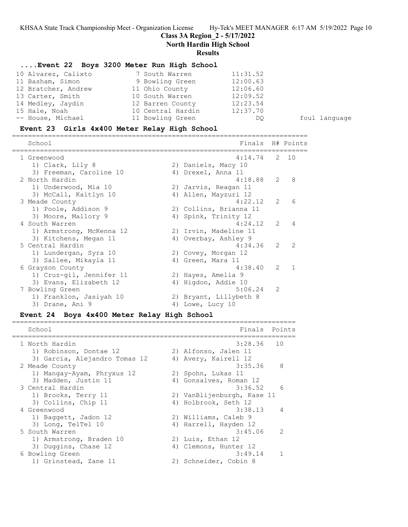## **Class 3A Region\_2 - 5/17/2022**

**North Hardin High School**

## **Results**

## **....Event 22 Boys 3200 Meter Run High School**

| 10 Alvarez, Calixto | 7 South Warren    | 11:31.52 |
|---------------------|-------------------|----------|
| 11 Basham, Simon    | 9 Bowling Green   | 12:00.63 |
| 12 Bratcher, Andrew | 11 Ohio County    | 12:06.60 |
| 13 Carter, Smith    | 10 South Warren   | 12:09.52 |
| 14 Medley, Jaydin   | 12 Barren County  | 12:23.54 |
| 15 Hale, Noah       | 10 Central Hardin | 12:37.70 |
| -- House, Michael   | 11 Bowling Green  | DO       |

foul language

## **Event 23 Girls 4x400 Meter Relay High School**

| School                   | Finals                 |               | H# Points      |
|--------------------------|------------------------|---------------|----------------|
| 1 Greenwood              | $4:14.74$ 2 10         |               |                |
| 1) Clark, Lily 8         | 2) Daniels, Macy 10    |               |                |
| 3) Freeman, Caroline 10  | 4) Drexel, Anna 11     |               |                |
| 2 North Hardin           | 4:18.88                | $\mathcal{L}$ | $\mathcal{B}$  |
| 1) Underwood, Mia 10     | 2) Jarvis, Reagan 11   |               |                |
| 3) McCall, Kaitlyn 10    | 4) Allen, Mayzuri 12   |               |                |
| 3 Meade County           | 4:22.12                | $\mathcal{P}$ | 6              |
| 1) Poole, Addison 9      | 2) Collins, Brianna 11 |               |                |
| 3) Moore, Mallory 9      | 4) Spink, Trinity 12   |               |                |
| 4 South Warren           | $4:24.12$ 2            |               | 4              |
| 1) Armstrong, McKenna 12 | 2) Irvin, Madeline 11  |               |                |
| 3) Kitchens, Megan 11    | 4) Overbay, Ashley 9   |               |                |
| 5 Central Hardin         | 4:34.36                | $\mathcal{P}$ | $\overline{2}$ |
| 1) Lundergan, Syra 10    | 2) Covey, Morgan 12    |               |                |
| 3) Sallee, Mikayla 11    | 4) Green, Mara 11      |               |                |
| 6 Grayson County         | 4:38.40                | $\mathcal{L}$ | $\overline{1}$ |
| 1) Cruz-gil, Jennifer 11 | 2) Hayes, Amelia 9     |               |                |
| 3) Evans, Elizabeth 12   | 4) Higdon, Addie 10    |               |                |
| 7 Bowling Green          | 5:06.24                | $\mathcal{L}$ |                |
| 1) Franklon, Jasiyah 10  | 2) Bryant, Lillybeth 8 |               |                |
| Drane, Ani 9<br>3)       | 4) Lowe, Lucy 10       |               |                |

# **Event 24 Boys 4x400 Meter Relay High School**

| School                        | Finals                     | Points                   |
|-------------------------------|----------------------------|--------------------------|
| 1 North Hardin                | $3:28.36$ 10               |                          |
| 1) Robinson, Dontae 12        | 2) Alfonso, Jalen 11       |                          |
| 3) Garcia, Alejandro Tomas 12 | 4) Avery, Kairell 12       |                          |
| 2 Meade County                | 3:35.36                    | - 8                      |
| 1) Mangay-Ayam, Phryxus 12    | 2) Spohn, Lukas 11         |                          |
| 3) Madden, Justin 11          | 4) Gonsalves, Roman 12     |                          |
| 3 Central Hardin              | 3:36.52 6                  |                          |
| 1) Brooks, Terry 11           | 2) VanBlijenburgh, Kase 11 |                          |
| 3) Collins, Chip 11           | 4) Holbrook, Seth 12       |                          |
| 4 Greenwood                   | 3:38.13                    | $\overline{4}$           |
| 1) Baggett, Jadon 12          | 2) Williams, Caleb 9       |                          |
| 3) Long, TelTel 10            | 4) Harrell, Hayden 12      |                          |
| 5 South Warren                | 3:45.06                    | $\overline{\phantom{0}}$ |
| 1) Armstrong, Braden 10       | 2) Luis, Ethan 12          |                          |
| 3) Duggins, Chase 12          | 4) Clemons, Hunter 12      |                          |
| 6 Bowling Green               | 3:49.14                    |                          |
| 1) Grinstead, Zane 11         | 2) Schneider, Cobin 8      |                          |
|                               |                            |                          |